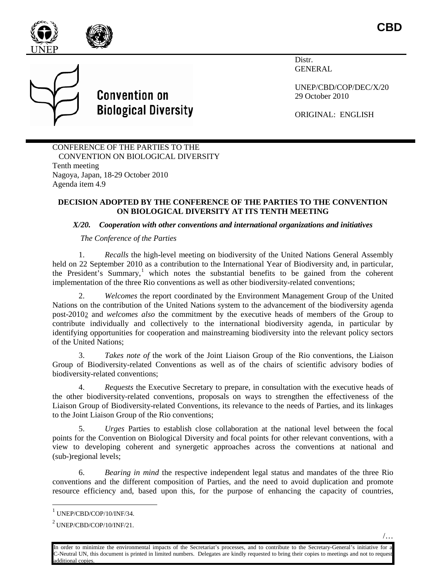



**Convention on Biological Diversity** 

Distr. GENERAL

UNEP/CBD/COP/DEC/X/20 29 October 2010

ORIGINAL: ENGLISH

CONFERENCE OF THE PARTIES TO THE CONVENTION ON BIOLOGICAL DIVERSITY Tenth meeting Nagoya, Japan, 18-29 October 2010 Agenda item 4.9

## **DECISION ADOPTED BY THE CONFERENCE OF THE PARTIES TO THE CONVENTION ON BIOLOGICAL DIVERSITY AT ITS TENTH MEETING**

## *X/20. Cooperation with other conventions and international organizations and initiatives*

*The Conference of the Parties*

1. *Recalls* the high-level meeting on biodiversity of the United Nations General Assembly held on 22 September 2010 as a contribution to the International Year of Biodiversity and, in particular, the President's Summary,<sup>[1](#page-0-0)</sup> which notes the substantial benefits to be gained from the coherent implementation of the three Rio conventions as well as other biodiversity-related conventions;

2. *Welcomes* the report coordinated by the Environment Management Group of the United Nations on the contribution of the United Nations system to the advancement of the biodiversity agenda post-2010 [2](#page-0-1) and *welcomes also* the commitment by the executive heads of members of the Group to contribute individually and collectively to the international biodiversity agenda, in particular by identifying opportunities for cooperation and mainstreaming biodiversity into the relevant policy sectors of the United Nations;

3. *Takes note of* the work of the Joint Liaison Group of the Rio conventions, the Liaison Group of Biodiversity-related Conventions as well as of the chairs of scientific advisory bodies of biodiversity-related conventions;

4. *Requests* the Executive Secretary to prepare, in consultation with the executive heads of the other biodiversity-related conventions, proposals on ways to strengthen the effectiveness of the Liaison Group of Biodiversity-related Conventions, its relevance to the needs of Parties, and its linkages to the Joint Liaison Group of the Rio conventions;

5. *Urges* Parties to establish close collaboration at the national level between the focal points for the Convention on Biological Diversity and focal points for other relevant conventions, with a view to developing coherent and synergetic approaches across the conventions at national and (sub-)regional levels;

6. *Bearing in mind* the respective independent legal status and mandates of the three Rio conventions and the different composition of Parties, and the need to avoid duplication and promote resource efficiency and, based upon this, for the purpose of enhancing the capacity of countries,

<span id="page-0-0"></span> $1$  UNEP/CBD/COP/10/INF/34.

<span id="page-0-1"></span><sup>2</sup> UNEP/CBD/COP/10/INF/21.

In order to minimize the environmental impacts of the Secretariat's processes, and to contribute to the Secretary-General's initiative for a C-Neutral UN, this document is printed in limited numbers. Delegates are kindly requested to bring their copies to meetings and not to request additional copies.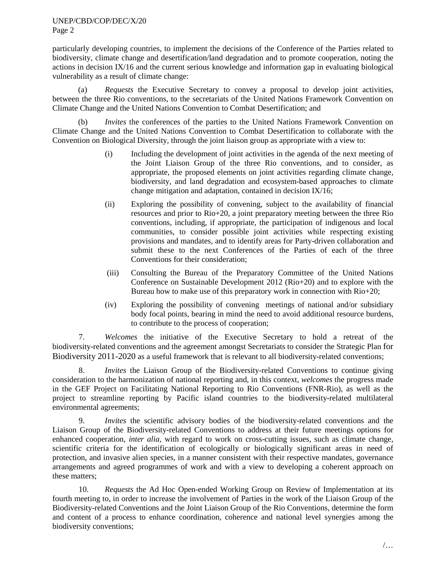## UNEP/CBD/COP/DEC/X/20 Page 2

particularly developing countries, to implement the decisions of the Conference of the Parties related to biodiversity, climate change and desertification/land degradation and to promote cooperation, noting the actions in decision IX/16 and the current serious knowledge and information gap in evaluating biological vulnerability as a result of climate change:

*Requests* the Executive Secretary to convey a proposal to develop joint activities, between the three Rio conventions, to the secretariats of the United Nations Framework Convention on Climate Change and the United Nations Convention to Combat Desertification; and

(b) *Invites* the conferences of the parties to the United Nations Framework Convention on Climate Change and the United Nations Convention to Combat Desertification to collaborate with the Convention on Biological Diversity, through the joint liaison group as appropriate with a view to:

- (i) Including the development of joint activities in the agenda of the next meeting of the Joint Liaison Group of the three Rio conventions, and to consider, as appropriate, the proposed elements on joint activities regarding climate change, biodiversity, and land degradation and ecosystem-based approaches to climate change mitigation and adaptation, contained in decision IX/16;
- (ii) Exploring the possibility of convening, subject to the availability of financial resources and prior to Rio+20, a joint preparatory meeting between the three Rio conventions, including, if appropriate, the participation of indigenous and local communities, to consider possible joint activities while respecting existing provisions and mandates, and to identify areas for Party-driven collaboration and submit these to the next Conferences of the Parties of each of the three Conventions for their consideration;
- (iii) Consulting the Bureau of the Preparatory Committee of the United Nations Conference on Sustainable Development 2012 (Rio+20) and to explore with the Bureau how to make use of this preparatory work in connection with Rio+20;
- (iv) Exploring the possibility of convening meetings of national and/or subsidiary body focal points, bearing in mind the need to avoid additional resource burdens, to contribute to the process of cooperation;

7. *Welcomes* the initiative of the Executive Secretary to hold a retreat of the biodiversity-related conventions and the agreement amongst Secretariats to consider the Strategic Plan for Biodiversity 2011-2020 as a useful framework that is relevant to all biodiversity-related conventions;

8. *Invites* the Liaison Group of the Biodiversity-related Conventions to continue giving consideration to the harmonization of national reporting and, in this context, *welcomes* the progress made in the GEF Project on Facilitating National Reporting to Rio Conventions (FNR-Rio), as well as the project to streamline reporting by Pacific island countries to the biodiversity-related multilateral environmental agreements;

9. *Invites* the scientific advisory bodies of the biodiversity-related conventions and the Liaison Group of the Biodiversity-related Conventions to address at their future meetings options for enhanced cooperation, *inter alia*, with regard to work on cross-cutting issues, such as climate change, scientific criteria for the identification of ecologically or biologically significant areas in need of protection, and invasive alien species, in a manner consistent with their respective mandates, governance arrangements and agreed programmes of work and with a view to developing a coherent approach on these matters;

10. *Requests* the Ad Hoc Open-ended Working Group on Review of Implementation at its fourth meeting to, in order to increase the involvement of Parties in the work of the Liaison Group of the Biodiversity-related Conventions and the Joint Liaison Group of the Rio Conventions, determine the form and content of a process to enhance coordination, coherence and national level synergies among the biodiversity conventions;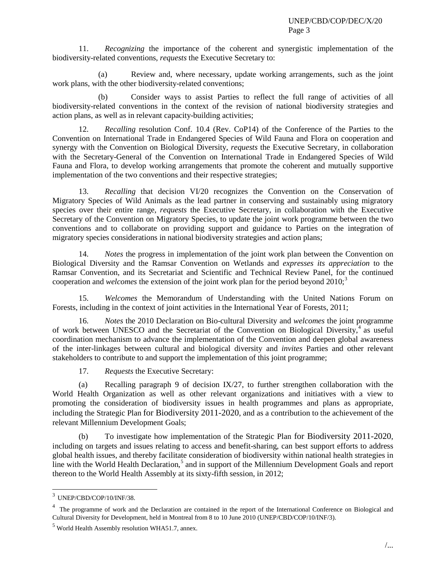11. *Recognizing* the importance of the coherent and synergistic implementation of the biodiversity-related conventions, *requests* the Executive Secretary to:

(a) Review and, where necessary, update working arrangements, such as the joint work plans, with the other biodiversity-related conventions;

(b) Consider ways to assist Parties to reflect the full range of activities of all biodiversity-related conventions in the context of the revision of national biodiversity strategies and action plans, as well as in relevant capacity-building activities;

12. *Recalling* resolution Conf. 10.4 (Rev. CoP14) of the Conference of the Parties to the Convention on International Trade in Endangered Species of Wild Fauna and Flora on cooperation and synergy with the Convention on Biological Diversity, *requests* the Executive Secretary, in collaboration with the Secretary-General of the Convention on International Trade in Endangered Species of Wild Fauna and Flora, to develop working arrangements that promote the coherent and mutually supportive implementation of the two conventions and their respective strategies;

13. *Recalling* that decision VI/20 recognizes the Convention on the Conservation of Migratory Species of Wild Animals as the lead partner in conserving and sustainably using migratory species over their entire range, *requests* the Executive Secretary, in collaboration with the Executive Secretary of the Convention on Migratory Species, to update the joint work programme between the two conventions and to collaborate on providing support and guidance to Parties on the integration of migratory species considerations in national biodiversity strategies and action plans;

14. *Notes* the progress in implementation of the joint work plan between the Convention on Biological Diversity and the Ramsar Convention on Wetlands and *expresses its appreciation* to the Ramsar Convention, and its Secretariat and Scientific and Technical Review Panel, for the continued cooperation and *welcomes* the extension of the joint work plan for the period beyond 2010;<sup>[3](#page-2-0)</sup>

15. *Welcomes* the Memorandum of Understanding with the United Nations Forum on Forests, including in the context of joint activities in the International Year of Forests, 2011;

16. *Notes* the 2010 Declaration on Bio-cultural Diversity and *welcomes* the joint programme of work between UNESCO and the Secretariat of the Convention on Biological Diversity, $4$  as useful coordination mechanism to advance the implementation of the Convention and deepen global awareness of the inter-linkages between cultural and biological diversity and *invites* Parties and other relevant stakeholders to contribute to and support the implementation of this joint programme;

17. *Requests* the Executive Secretary:

(a) Recalling paragraph 9 of decision IX/27, to further strengthen collaboration with the World Health Organization as well as other relevant organizations and initiatives with a view to promoting the consideration of biodiversity issues in health programmes and plans as appropriate, including the Strategic Plan for Biodiversity 2011-2020, and as a contribution to the achievement of the relevant Millennium Development Goals;

(b) To investigate how implementation of the Strategic Plan for Biodiversity 2011-2020, including on targets and issues relating to access and benefit-sharing, can best support efforts to address global health issues, and thereby facilitate consideration of biodiversity within national health strategies in line with the World Health Declaration,<sup>[5](#page-2-2)</sup> and in support of the Millennium Development Goals and report thereon to the World Health Assembly at its sixty-fifth session, in 2012;

<span id="page-2-0"></span> $3$  UNEP/CBD/COP/10/INF/38.

<span id="page-2-1"></span><sup>&</sup>lt;sup>4</sup> The programme of work and the Declaration are contained in the report of the International Conference on Biological and Cultural Diversity for Development, held in Montreal from 8 to 10 June 2010 (UNEP/CBD/COP/10/INF/3).

<span id="page-2-2"></span><sup>5</sup> World Health Assembly resolution WHA51.7, annex.